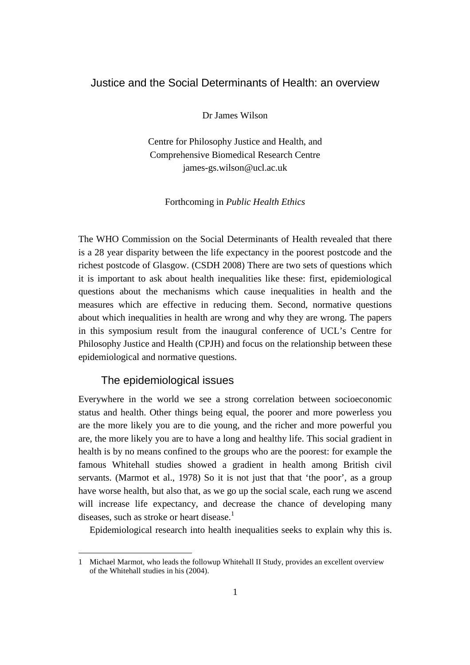# Justice and the Social Determinants of Health: an overview

Dr James Wilson

Centre for Philosophy Justice and Health, and Comprehensive Biomedical Research Centre james-gs.wilson@ucl.ac.uk

Forthcoming in *Public Health Ethics*

The WHO Commission on the Social Determinants of Health revealed that there is a 28 year disparity between the life expectancy in the poorest postcode and the richest postcode of Glasgow. (CSDH 2008) There are two sets of questions which it is important to ask about health inequalities like these: first, epidemiological questions about the mechanisms which cause inequalities in health and the measures which are effective in reducing them. Second, normative questions about which inequalities in health are wrong and why they are wrong. The papers in this symposium result from the inaugural conference of UCL's Centre for Philosophy Justice and Health (CPJH) and focus on the relationship between these epidemiological and normative questions.

# The epidemiological issues

Everywhere in the world we see a strong correlation between socioeconomic status and health. Other things being equal, the poorer and more powerless you are the more likely you are to die young, and the richer and more powerful you are, the more likely you are to have a long and healthy life. This social gradient in health is by no means confined to the groups who are the poorest: for example the famous Whitehall studies showed a gradient in health among British civil servants. (Marmot et al., 1978) So it is not just that that 'the poor', as a group have worse health, but also that, as we go up the social scale, each rung we ascend will increase life expectancy, and decrease the chance of developing many diseases, such as stroke or heart disease.<sup>1</sup>

Epidemiological research into health inequalities seeks to explain why this is.

<sup>1</sup> Michael Marmot, who leads the followup Whitehall II Study, provides an excellent overview of the Whitehall studies in his (2004).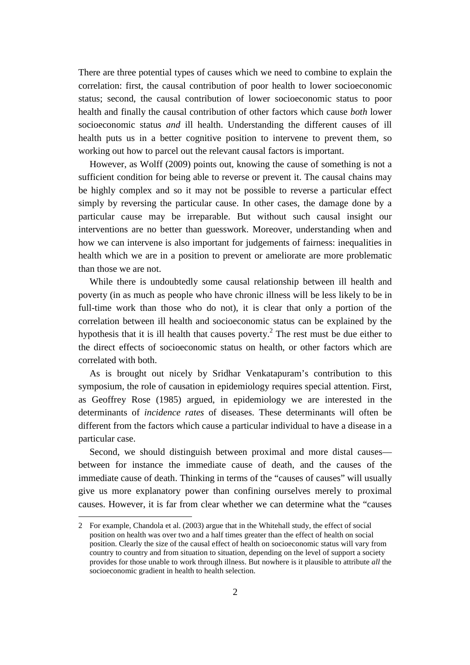There are three potential types of causes which we need to combine to explain the correlation: first, the causal contribution of poor health to lower socioeconomic status; second, the causal contribution of lower socioeconomic status to poor health and finally the causal contribution of other factors which cause *both* lower socioeconomic status *and* ill health. Understanding the different causes of ill health puts us in a better cognitive position to intervene to prevent them, so working out how to parcel out the relevant causal factors is important.

However, as Wolff (2009) points out, knowing the cause of something is not a sufficient condition for being able to reverse or prevent it. The causal chains may be highly complex and so it may not be possible to reverse a particular effect simply by reversing the particular cause. In other cases, the damage done by a particular cause may be irreparable. But without such causal insight our interventions are no better than guesswork. Moreover, understanding when and how we can intervene is also important for judgements of fairness: inequalities in health which we are in a position to prevent or ameliorate are more problematic than those we are not.

While there is undoubtedly some causal relationship between ill health and poverty (in as much as people who have chronic illness will be less likely to be in full-time work than those who do not), it is clear that only a portion of the correlation between ill health and socioeconomic status can be explained by the hypothesis that it is ill health that causes poverty.<sup>2</sup> The rest must be due either to the direct effects of socioeconomic status on health, or other factors which are correlated with both.

As is brought out nicely by Sridhar Venkatapuram's contribution to this symposium, the role of causation in epidemiology requires special attention. First, as Geoffrey Rose (1985) argued, in epidemiology we are interested in the determinants of *incidence rates* of diseases. These determinants will often be different from the factors which cause a particular individual to have a disease in a particular case.

Second, we should distinguish between proximal and more distal causes between for instance the immediate cause of death, and the causes of the immediate cause of death. Thinking in terms of the "causes of causes" will usually give us more explanatory power than confining ourselves merely to proximal causes. However, it is far from clear whether we can determine what the "causes

<sup>2</sup> For example, Chandola et al. (2003) argue that in the Whitehall study, the effect of social position on health was over two and a half times greater than the effect of health on social position. Clearly the size of the causal effect of health on socioeconomic status will vary from country to country and from situation to situation, depending on the level of support a society provides for those unable to work through illness. But nowhere is it plausible to attribute *all* the socioeconomic gradient in health to health selection.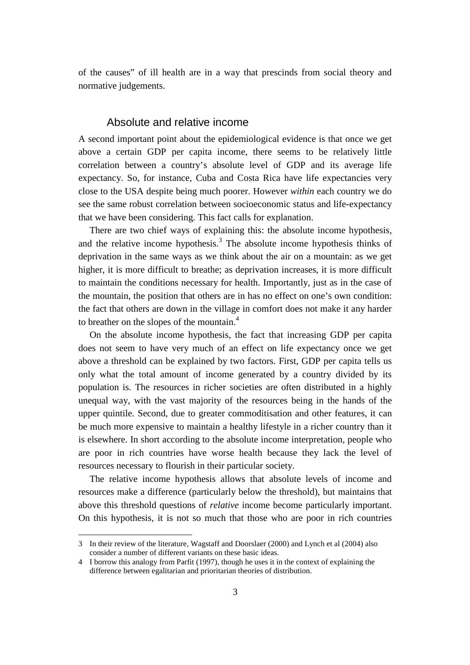of the causes" of ill health are in a way that prescinds from social theory and normative judgements.

#### Absolute and relative income

A second important point about the epidemiological evidence is that once we get above a certain GDP per capita income, there seems to be relatively little correlation between a country's absolute level of GDP and its average life expectancy. So, for instance, Cuba and Costa Rica have life expectancies very close to the USA despite being much poorer. However *within* each country we do see the same robust correlation between socioeconomic status and life-expectancy that we have been considering. This fact calls for explanation.

There are two chief ways of explaining this: the absolute income hypothesis, and the relative income hypothesis.<sup>3</sup> The absolute income hypothesis thinks of deprivation in the same ways as we think about the air on a mountain: as we get higher, it is more difficult to breathe; as deprivation increases, it is more difficult to maintain the conditions necessary for health. Importantly, just as in the case of the mountain, the position that others are in has no effect on one's own condition: the fact that others are down in the village in comfort does not make it any harder to breather on the slopes of the mountain.<sup>4</sup>

On the absolute income hypothesis, the fact that increasing GDP per capita does not seem to have very much of an effect on life expectancy once we get above a threshold can be explained by two factors. First, GDP per capita tells us only what the total amount of income generated by a country divided by its population is. The resources in richer societies are often distributed in a highly unequal way, with the vast majority of the resources being in the hands of the upper quintile. Second, due to greater commoditisation and other features, it can be much more expensive to maintain a healthy lifestyle in a richer country than it is elsewhere. In short according to the absolute income interpretation, people who are poor in rich countries have worse health because they lack the level of resources necessary to flourish in their particular society.

The relative income hypothesis allows that absolute levels of income and resources make a difference (particularly below the threshold), but maintains that above this threshold questions of *relative* income become particularly important. On this hypothesis, it is not so much that those who are poor in rich countries

<sup>3</sup> In their review of the literature, Wagstaff and Doorslaer (2000) and Lynch et al (2004) also consider a number of different variants on these basic ideas.

<sup>4</sup> I borrow this analogy from Parfit (1997), though he uses it in the context of explaining the difference between egalitarian and prioritarian theories of distribution.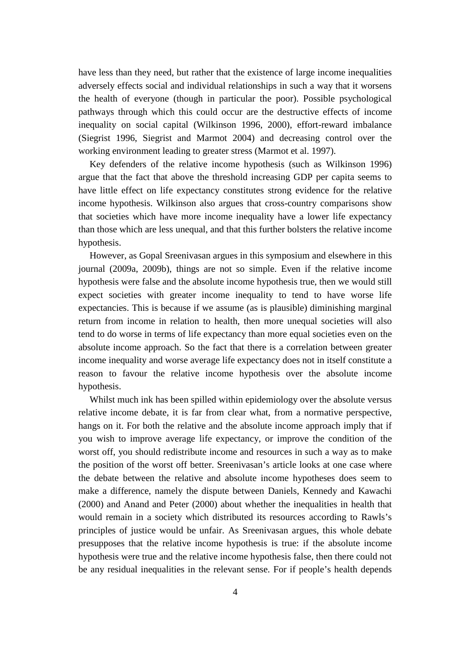have less than they need, but rather that the existence of large income inequalities adversely effects social and individual relationships in such a way that it worsens the health of everyone (though in particular the poor). Possible psychological pathways through which this could occur are the destructive effects of income inequality on social capital (Wilkinson 1996, 2000), effort-reward imbalance (Siegrist 1996, Siegrist and Marmot 2004) and decreasing control over the working environment leading to greater stress (Marmot et al. 1997).

Key defenders of the relative income hypothesis (such as Wilkinson 1996) argue that the fact that above the threshold increasing GDP per capita seems to have little effect on life expectancy constitutes strong evidence for the relative income hypothesis. Wilkinson also argues that cross-country comparisons show that societies which have more income inequality have a lower life expectancy than those which are less unequal, and that this further bolsters the relative income hypothesis.

However, as Gopal Sreenivasan argues in this symposium and elsewhere in this journal (2009a, 2009b), things are not so simple. Even if the relative income hypothesis were false and the absolute income hypothesis true, then we would still expect societies with greater income inequality to tend to have worse life expectancies. This is because if we assume (as is plausible) diminishing marginal return from income in relation to health, then more unequal societies will also tend to do worse in terms of life expectancy than more equal societies even on the absolute income approach. So the fact that there is a correlation between greater income inequality and worse average life expectancy does not in itself constitute a reason to favour the relative income hypothesis over the absolute income hypothesis.

Whilst much ink has been spilled within epidemiology over the absolute versus relative income debate, it is far from clear what, from a normative perspective, hangs on it. For both the relative and the absolute income approach imply that if you wish to improve average life expectancy, or improve the condition of the worst off, you should redistribute income and resources in such a way as to make the position of the worst off better. Sreenivasan's article looks at one case where the debate between the relative and absolute income hypotheses does seem to make a difference, namely the dispute between Daniels, Kennedy and Kawachi (2000) and Anand and Peter (2000) about whether the inequalities in health that would remain in a society which distributed its resources according to Rawls's principles of justice would be unfair. As Sreenivasan argues, this whole debate presupposes that the relative income hypothesis is true: if the absolute income hypothesis were true and the relative income hypothesis false, then there could not be any residual inequalities in the relevant sense. For if people's health depends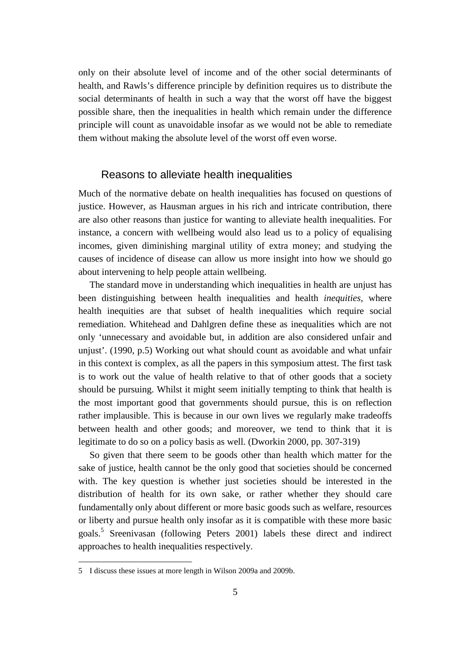only on their absolute level of income and of the other social determinants of health, and Rawls's difference principle by definition requires us to distribute the social determinants of health in such a way that the worst off have the biggest possible share, then the inequalities in health which remain under the difference principle will count as unavoidable insofar as we would not be able to remediate them without making the absolute level of the worst off even worse.

# Reasons to alleviate health inequalities

Much of the normative debate on health inequalities has focused on questions of justice. However, as Hausman argues in his rich and intricate contribution, there are also other reasons than justice for wanting to alleviate health inequalities. For instance, a concern with wellbeing would also lead us to a policy of equalising incomes, given diminishing marginal utility of extra money; and studying the causes of incidence of disease can allow us more insight into how we should go about intervening to help people attain wellbeing.

The standard move in understanding which inequalities in health are unjust has been distinguishing between health inequalities and health *inequities,* where health inequities are that subset of health inequalities which require social remediation. Whitehead and Dahlgren define these as inequalities which are not only 'unnecessary and avoidable but, in addition are also considered unfair and unjust'. (1990, p.5) Working out what should count as avoidable and what unfair in this context is complex, as all the papers in this symposium attest. The first task is to work out the value of health relative to that of other goods that a society should be pursuing. Whilst it might seem initially tempting to think that health is the most important good that governments should pursue, this is on reflection rather implausible. This is because in our own lives we regularly make tradeoffs between health and other goods; and moreover, we tend to think that it is legitimate to do so on a policy basis as well. (Dworkin 2000, pp. 307-319)

So given that there seem to be goods other than health which matter for the sake of justice, health cannot be the only good that societies should be concerned with. The key question is whether just societies should be interested in the distribution of health for its own sake, or rather whether they should care fundamentally only about different or more basic goods such as welfare, resources or liberty and pursue health only insofar as it is compatible with these more basic goals.<sup>5</sup> Sreenivasan (following Peters 2001) labels these direct and indirect approaches to health inequalities respectively.

<sup>5</sup> I discuss these issues at more length in Wilson 2009a and 2009b.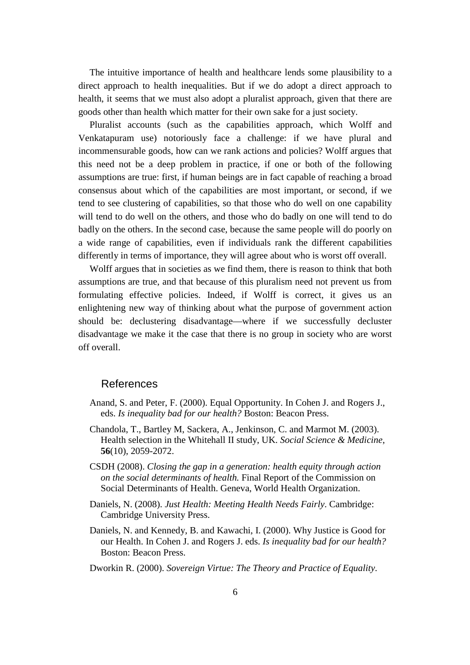The intuitive importance of health and healthcare lends some plausibility to a direct approach to health inequalities. But if we do adopt a direct approach to health, it seems that we must also adopt a pluralist approach, given that there are goods other than health which matter for their own sake for a just society.

Pluralist accounts (such as the capabilities approach, which Wolff and Venkatapuram use) notoriously face a challenge: if we have plural and incommensurable goods, how can we rank actions and policies? Wolff argues that this need not be a deep problem in practice, if one or both of the following assumptions are true: first, if human beings are in fact capable of reaching a broad consensus about which of the capabilities are most important, or second, if we tend to see clustering of capabilities, so that those who do well on one capability will tend to do well on the others, and those who do badly on one will tend to do badly on the others. In the second case, because the same people will do poorly on a wide range of capabilities, even if individuals rank the different capabilities differently in terms of importance, they will agree about who is worst off overall.

Wolff argues that in societies as we find them, there is reason to think that both assumptions are true, and that because of this pluralism need not prevent us from formulating effective policies. Indeed, if Wolff is correct, it gives us an enlightening new way of thinking about what the purpose of government action should be: declustering disadvantage—where if we successfully decluster disadvantage we make it the case that there is no group in society who are worst off overall.

# References

- Anand, S. and Peter, F. (2000). Equal Opportunity. In Cohen J. and Rogers J., eds. *Is inequality bad for our health?* Boston: Beacon Press.
- Chandola, T., Bartley M, Sackera, A., Jenkinson, C. and Marmot M. (2003). Health selection in the Whitehall II study, UK. *Social Science & Medicine*, **56**(10), 2059-2072.
- CSDH (2008). *Closing the gap in a generation: health equity through action on the social determinants of health.* Final Report of the Commission on Social Determinants of Health. Geneva, World Health Organization.
- Daniels, N. (2008). *Just Health: Meeting Health Needs Fairly*. Cambridge: Cambridge University Press.
- Daniels, N. and Kennedy, B. and Kawachi, I. (2000). Why Justice is Good for our Health. In Cohen J. and Rogers J. eds. *Is inequality bad for our health?* Boston: Beacon Press.
- Dworkin R. (2000). *Sovereign Virtue: The Theory and Practice of Equality*.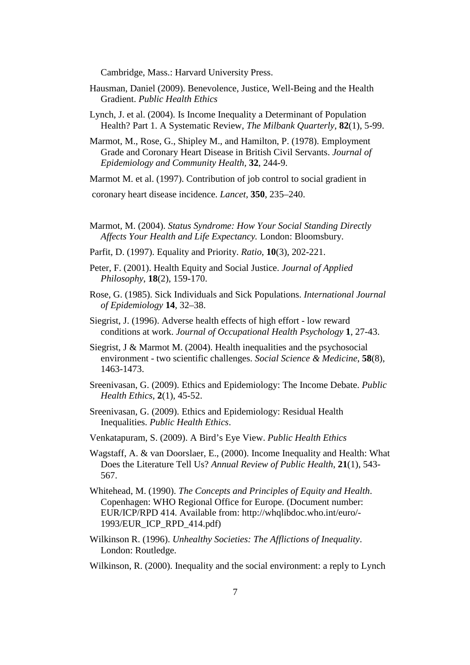Cambridge, Mass.: Harvard University Press.

- Hausman, Daniel (2009). Benevolence, Justice, Well-Being and the Health Gradient. *Public Health Ethics*
- Lynch, J. et al. (2004). Is Income Inequality a Determinant of Population Health? Part 1. A Systematic Review, *The Milbank Quarterly*, **82**(1), 5-99.
- Marmot, M., Rose, G., Shipley M., and Hamilton, P. (1978). Employment Grade and Coronary Heart Disease in British Civil Servants. *Journal of Epidemiology and Community Health,* **32**, 244-9.

Marmot M. et al. (1997). Contribution of job control to social gradient in

coronary heart disease incidence. *Lancet,* **350**, 235–240.

- Marmot, M. (2004). *Status Syndrome: How Your Social Standing Directly Affects Your Health and Life Expectancy.* London: Bloomsbury.
- Parfit, D. (1997). Equality and Priority. *Ratio*, **10**(3), 202-221.
- Peter, F. (2001). Health Equity and Social Justice. *Journal of Applied Philosophy*, **18**(2), 159-170.
- Rose, G. (1985). Sick Individuals and Sick Populations. *International Journal of Epidemiology* **14**, 32–38.
- Siegrist, J. (1996). Adverse health effects of high effort low reward conditions at work. *Journal of Occupational Health Psychology* **1**, 27-43.
- Siegrist, J & Marmot M. (2004). Health inequalities and the psychosocial environment - two scientific challenges. *Social Science & Medicine*, **58**(8), 1463-1473.
- Sreenivasan, G. (2009). Ethics and Epidemiology: The Income Debate. *Public Health Ethics*, **2**(1), 45-52.
- Sreenivasan, G. (2009). Ethics and Epidemiology: Residual Health Inequalities. *Public Health Ethics*.
- Venkatapuram, S. (2009). A Bird's Eye View. *Public Health Ethics*
- Wagstaff, A. & van Doorslaer, E., (2000). Income Inequality and Health: What Does the Literature Tell Us? *Annual Review of Public Health*, **21**(1), 543- 567.
- Whitehead, M. (1990). *The Concepts and Principles of Equity and Health*. Copenhagen: WHO Regional Office for Europe. (Document number: EUR/ICP/RPD 414. Available from: http://whqlibdoc.who.int/euro/- 1993/EUR\_ICP\_RPD\_414.pdf)
- Wilkinson R. (1996). *Unhealthy Societies: The Afflictions of Inequality*. London: Routledge.
- Wilkinson, R. (2000). Inequality and the social environment: a reply to Lynch